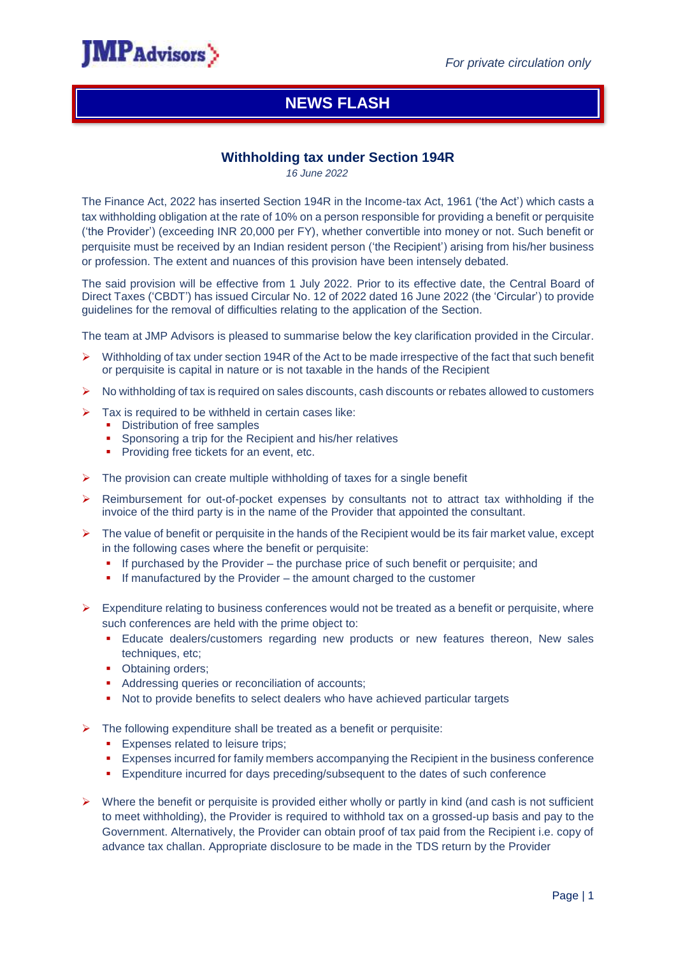

# **NEWS FLASH**

## **Withholding tax under Section 194R**

*16 June 2022*

The Finance Act, 2022 has inserted Section 194R in the Income-tax Act, 1961 ('the Act') which casts a tax withholding obligation at the rate of 10% on a person responsible for providing a benefit or perquisite ('the Provider') (exceeding INR 20,000 per FY), whether convertible into money or not. Such benefit or perquisite must be received by an Indian resident person ('the Recipient') arising from his/her business or profession. The extent and nuances of this provision have been intensely debated.

The said provision will be effective from 1 July 2022. Prior to its effective date, the Central Board of Direct Taxes ('CBDT') has issued Circular No. 12 of 2022 dated 16 June 2022 (the 'Circular') to provide guidelines for the removal of difficulties relating to the application of the Section.

The team at JMP Advisors is pleased to summarise below the key clarification provided in the Circular.

- $\triangleright$  Withholding of tax under section 194R of the Act to be made irrespective of the fact that such benefit or perquisite is capital in nature or is not taxable in the hands of the Recipient
- $\triangleright$  No withholding of tax is required on sales discounts, cash discounts or rebates allowed to customers
- $\triangleright$  Tax is required to be withheld in certain cases like:
	- **•** Distribution of free samples
	- Sponsoring a trip for the Recipient and his/her relatives
	- **Providing free tickets for an event, etc.**
- $\triangleright$  The provision can create multiple withholding of taxes for a single benefit
- ▶ Reimbursement for out-of-pocket expenses by consultants not to attract tax withholding if the invoice of the third party is in the name of the Provider that appointed the consultant.
- $\triangleright$  The value of benefit or perquisite in the hands of the Recipient would be its fair market value, except in the following cases where the benefit or perquisite:
	- If purchased by the Provider the purchase price of such benefit or perquisite; and
	- If manufactured by the Provider the amount charged to the customer
- $\triangleright$  Expenditure relating to business conferences would not be treated as a benefit or perquisite, where such conferences are held with the prime object to:
	- **Educate dealers/customers regarding new products or new features thereon, New sales** techniques, etc;
	- Obtaining orders;
	- Addressing queries or reconciliation of accounts;
	- Not to provide benefits to select dealers who have achieved particular targets
- $\triangleright$  The following expenditure shall be treated as a benefit or perquisite:
	- **Expenses related to leisure trips;**
	- Expenses incurred for family members accompanying the Recipient in the business conference
	- Expenditure incurred for days preceding/subsequent to the dates of such conference
- $\triangleright$  Where the benefit or perquisite is provided either wholly or partly in kind (and cash is not sufficient to meet withholding), the Provider is required to withhold tax on a grossed-up basis and pay to the Government. Alternatively, the Provider can obtain proof of tax paid from the Recipient i.e. copy of advance tax challan. Appropriate disclosure to be made in the TDS return by the Provider